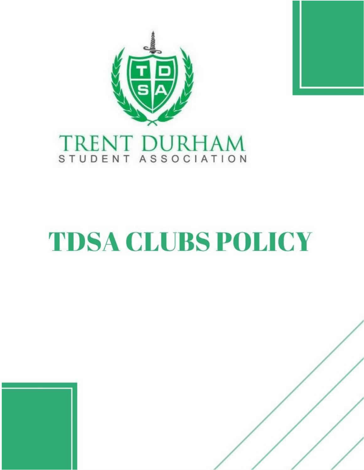

# TRENT DURHAM

## **TDSA CLUBS POLICY**

Date for Review 2021

1 | Page

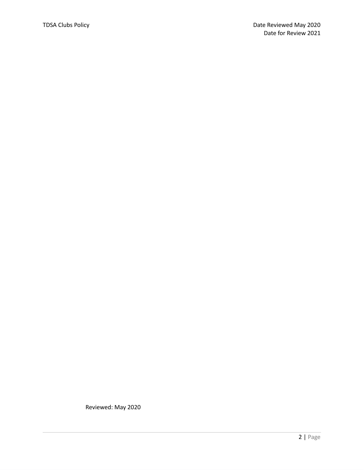Reviewed: May 2020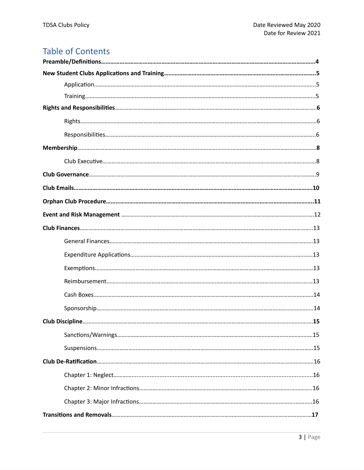### **Table of Contents**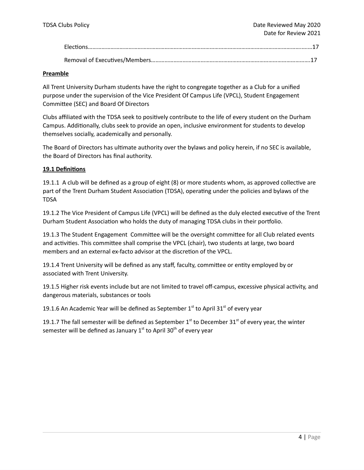#### **Preamble**

All Trent University Durham students have the right to congregate together as a Club for a unified purpose under the supervision of the Vice President Of Campus Life (VPCL), Student Engagement Committee (SEC) and Board Of Directors

Clubs affiliated with the TDSA seek to positively contribute to the life of every student on the Durham Campus. Additionally, clubs seek to provide an open, inclusive environment for students to develop themselves socially, academically and personally.

The Board of Directors has ultimate authority over the bylaws and policy herein, if no SEC is available, the Board of Directors has final authority.

#### **19.1 Definitions**

19.1.1 A club will be defined as a group of eight (8) or more students whom, as approved collective are part of the Trent Durham Student Association (TDSA), operating under the policies and bylaws of the TDSA

19.1.2 The Vice President of Campus Life (VPCL) will be defined as the duly elected executive of the Trent Durham Student Association who holds the duty of managing TDSA clubs in their portfolio.

19.1.3 The Student Engagement Committee will be the oversight committee for all Club related events and activities. This committee shall comprise the VPCL (chair), two students at large, two board members and an external ex-facto advisor at the discretion of the VPCL.

19.1.4 Trent University will be defined as any staff, faculty, committee or entity employed by or associated with Trent University.

19.1.5 Higher risk events include but are not limited to travel off-campus, excessive physical activity, and dangerous materials, substances or tools

19.1.6 An Academic Year will be defined as September  $1<sup>st</sup>$  to April 31 $<sup>st</sup>$  of every year</sup>

19.1.7 The fall semester will be defined as September  $1<sup>st</sup>$  to December 31 $<sup>st</sup>$  of every year, the winter</sup> semester will be defined as January 1<sup>st</sup> to April 30<sup>th</sup> of every year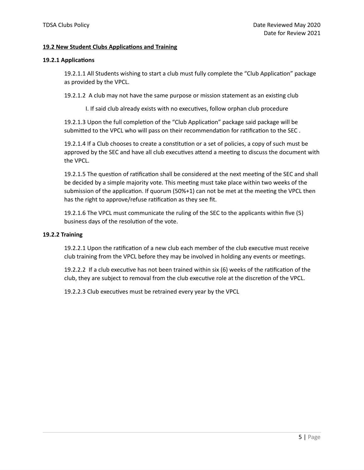#### **19.2 New Student Clubs Applications and Training**

#### **19.2.1 Applications**

19.2.1.1 All Students wishing to start a club must fully complete the "Club Application" package as provided by the VPCL.

19.2.1.2 A club may not have the same purpose or mission statement as an existing club

I. If said club already exists with no executives, follow orphan club procedure

19.2.1.3 Upon the full completion of the "Club Application" package said package will be submitted to the VPCL who will pass on their recommendation for ratification to the SEC .

19.2.1.4 If a Club chooses to create a constitution or a set of policies, a copy of such must be approved by the SEC and have all club executives attend a meeting to discuss the document with the VPCL.

19.2.1.5 The question of ratification shall be considered at the next meeting of the SEC and shall be decided by a simple majority vote. This meeting must take place within two weeks of the submission of the application. If quorum (50%+1) can not be met at the meeting the VPCL then has the right to approve/refuse ratification as they see fit.

19.2.1.6 The VPCL must communicate the ruling of the SEC to the applicants within five (5) business days of the resolution of the vote.

#### **19.2.2 Training**

19.2.2.1 Upon the ratification of a new club each member of the club executive must receive club training from the VPCL before they may be involved in holding any events or meetings.

19.2.2.2 If a club executive has not been trained within six (6) weeks of the ratification of the club, they are subject to removal from the club executive role at the discretion of the VPCL.

19.2.2.3 Club executives must be retrained every year by the VPCL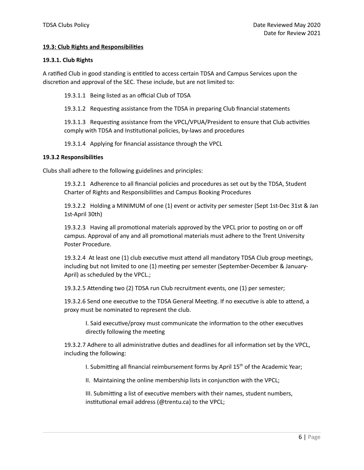#### **19.3: Club Rights and Responsibilities**

#### **19.3.1. Club Rights**

A ratified Club in good standing is entitled to access certain TDSA and Campus Services upon the discretion and approval of the SEC. These include, but are not limited to:

19.3.1.1 Being listed as an official Club of TDSA

19.3.1.2 Requesting assistance from the TDSA in preparing Club financial statements

19.3.1.3 Requesting assistance from the VPCL/VPUA/President to ensure that Club activities comply with TDSA and Institutional policies, by-laws and procedures

19.3.1.4 Applying for financial assistance through the VPCL

#### **19.3.2 Responsibilities**

Clubs shall adhere to the following guidelines and principles:

19.3.2.1 Adherence to all financial policies and procedures as set out by the TDSA, Student Charter of Rights and Responsibilities and Campus Booking Procedures

19.3.2.2 Holding a MINIMUM of one (1) event or activity per semester (Sept 1st-Dec 31st & Jan 1st-April 30th)

19.3.2.3 Having all promotional materials approved by the VPCL prior to posting on or off campus. Approval of any and all promotional materials must adhere to the Trent University Poster Procedure.

19.3.2.4 At least one (1) club executive must attend all mandatory TDSA Club group meetings, including but not limited to one (1) meeting per semester (September-December & January-April) as scheduled by the VPCL.;

19.3.2.5 Attending two (2) TDSA run Club recruitment events, one (1) per semester;

19.3.2.6 Send one executive to the TDSA General Meeting. If no executive is able to attend, a proxy must be nominated to represent the club.

I. Said executive/proxy must communicate the information to the other executives directly following the meeting

19.3.2.7 Adhere to all administrative duties and deadlines for all information set by the VPCL, including the following:

I. Submitting all financial reimbursement forms by April 15<sup>th</sup> of the Academic Year;

II. Maintaining the online membership lists in conjunction with the VPCL;

III. Submitting a list of executive members with their names, student numbers, institutional email address (@trentu.ca) to the VPCL;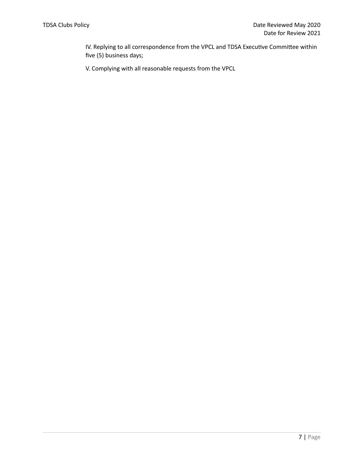IV. Replying to all correspondence from the VPCL and TDSA Executive Committee within five (5) business days;

V. Complying with all reasonable requests from the VPCL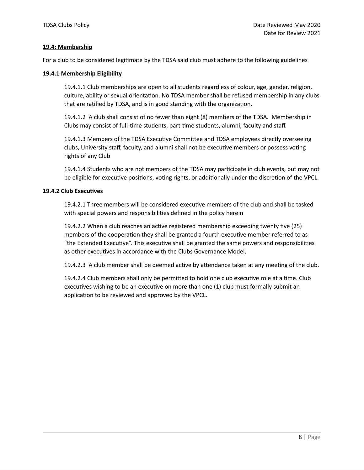#### **19.4: Membership**

For a club to be considered legitimate by the TDSA said club must adhere to the following guidelines

#### **19.4.1 Membership Eligibility**

19.4.1.1 Club memberships are open to all students regardless of colour, age, gender, religion, culture, ability or sexual orientation. No TDSA member shall be refused membership in any clubs that are ratified by TDSA, and is in good standing with the organization.

19.4.1.2 A club shall consist of no fewer than eight (8) members of the TDSA. Membership in Clubs may consist of full-time students, part-time students, alumni, faculty and staff.

19.4.1.3 Members of the TDSA Executive Committee and TDSA employees directly overseeing clubs, University staff, faculty, and alumni shall not be executive members or possess voting rights of any Club

19.4.1.4 Students who are not members of the TDSA may participate in club events, but may not be eligible for executive positions, voting rights, or additionally under the discretion of the VPCL.

#### **19.4.2 Club Executives**

19.4.2.1 Three members will be considered executive members of the club and shall be tasked with special powers and responsibilities defined in the policy herein

19.4.2.2 When a club reaches an active registered membership exceeding twenty five (25) members of the cooperation they shall be granted a fourth executive member referred to as "the Extended Executive". This executive shall be granted the same powers and responsibilities as other executives in accordance with the Clubs Governance Model.

19.4.2.3 A club member shall be deemed active by attendance taken at any meeting of the club.

19.4.2.4 Club members shall only be permitted to hold one club executive role at a time. Club executives wishing to be an executive on more than one (1) club must formally submit an application to be reviewed and approved by the VPCL.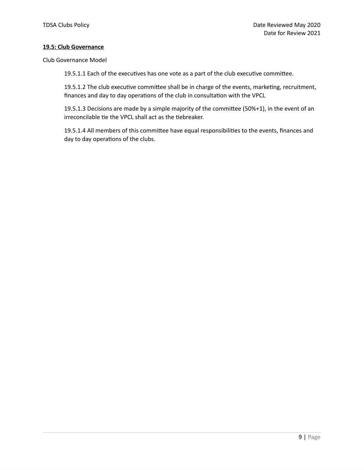#### **19.5: Club Governance**

Club Governance Model

19.5.1.1 Each of the executives has one vote as a part of the club executive committee.

19.5.1.2 The club executive committee shall be in charge of the events, marketing, recruitment, finances and day to day operations of the club in consultation with the VPCL

19.5.1.3 Decisions are made by a simple majority of the committee (50%+1), in the event of an irreconcilable tie the VPCL shall act as the tiebreaker.

19.5.1.4 All members of this committee have equal responsibilities to the events, finances and day to day operations of the clubs.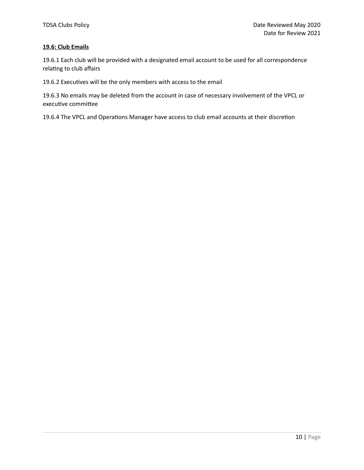#### **19.6: Club Emails**

19.6.1 Each club will be provided with a designated email account to be used for all correspondence relating to club affairs

19.6.2 Executives will be the only members with access to the email

19.6.3 No emails may be deleted from the account in case of necessary involvement of the VPCL or executive committee

19.6.4 The VPCL and Operations Manager have access to club email accounts at their discretion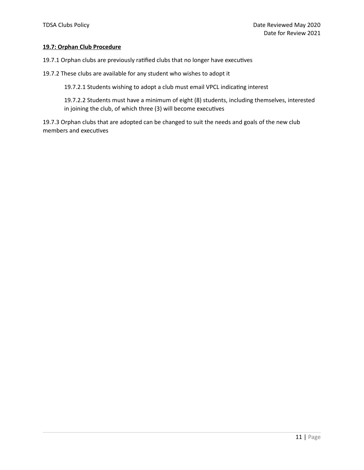#### **19.7: Orphan Club Procedure**

19.7.1 Orphan clubs are previously ratified clubs that no longer have executives

19.7.2 These clubs are available for any student who wishes to adopt it

19.7.2.1 Students wishing to adopt a club must email VPCL indicating interest

19.7.2.2 Students must have a minimum of eight (8) students, including themselves, interested in joining the club, of which three (3) will become executives

19.7.3 Orphan clubs that are adopted can be changed to suit the needs and goals of the new club members and executives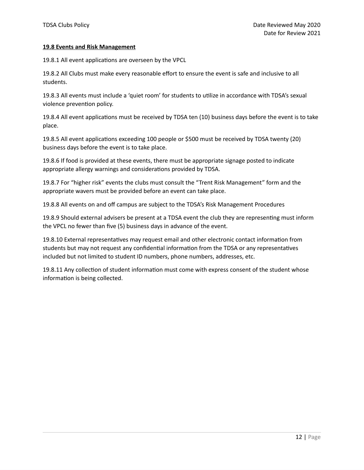#### **19.8 Events and Risk Management**

19.8.1 All event applications are overseen by the VPCL

19.8.2 All Clubs must make every reasonable effort to ensure the event is safe and inclusive to all students.

19.8.3 All events must include a 'quiet room' for students to utilize in accordance with TDSA's sexual violence prevention policy.

19.8.4 All event applications must be received by TDSA ten (10) business days before the event is to take place.

19.8.5 All event applications exceeding 100 people or \$500 must be received by TDSA twenty (20) business days before the event is to take place.

19.8.6 If food is provided at these events, there must be appropriate signage posted to indicate appropriate allergy warnings and considerations provided by TDSA.

19.8.7 For "higher risk" events the clubs must consult the "Trent Risk Management" form and the appropriate wavers must be provided before an event can take place.

19.8.8 All events on and off campus are subject to the TDSA's Risk Management Procedures

19.8.9 Should external advisers be present at a TDSA event the club they are representing must inform the VPCL no fewer than five (5) business days in advance of the event.

19.8.10 External representatives may request email and other electronic contact information from students but may not request any confidential information from the TDSA or any representatives included but not limited to student ID numbers, phone numbers, addresses, etc.

19.8.11 Any collection of student information must come with express consent of the student whose information is being collected.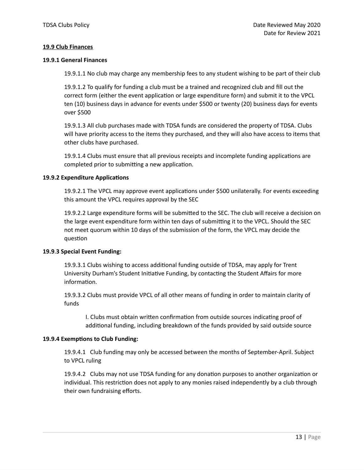#### **19.9 Club Finances**

#### **19.9.1 General Finances**

19.9.1.1 No club may charge any membership fees to any student wishing to be part of their club

19.9.1.2 To qualify for funding a club must be a trained and recognized club and fill out the correct form (either the event application or large expenditure form) and submit it to the VPCL ten (10) business days in advance for events under \$500 or twenty (20) business days for events over \$500

19.9.1.3 All club purchases made with TDSA funds are considered the property of TDSA. Clubs will have priority access to the items they purchased, and they will also have access to items that other clubs have purchased.

19.9.1.4 Clubs must ensure that all previous receipts and incomplete funding applications are completed prior to submitting a new application.

#### **19.9.2 Expenditure Applications**

19.9.2.1 The VPCL may approve event applications under \$500 unilaterally. For events exceeding this amount the VPCL requires approval by the SEC

19.9.2.2 Large expenditure forms will be submitted to the SEC. The club will receive a decision on the large event expenditure form within ten days of submitting it to the VPCL. Should the SEC not meet quorum within 10 days of the submission of the form, the VPCL may decide the question

#### **19.9**.**3 Special Event Funding:**

19.9.3.1 Clubs wishing to access additional funding outside of TDSA, may apply for Trent University Durham's Student Initiative Funding, by contacting the Student Affairs for more information.

19.9.3.2 Clubs must provide VPCL of all other means of funding in order to maintain clarity of funds

I. Clubs must obtain written confirmation from outside sources indicating proof of additional funding, including breakdown of the funds provided by said outside source

#### **19.9.4 Exemptions to Club Funding:**

19.9.4.1 Club funding may only be accessed between the months of September-April. Subject to VPCL ruling

19.9.4.2 Clubs may not use TDSA funding for any donation purposes to another organization or individual. This restriction does not apply to any monies raised independently by a club through their own fundraising efforts.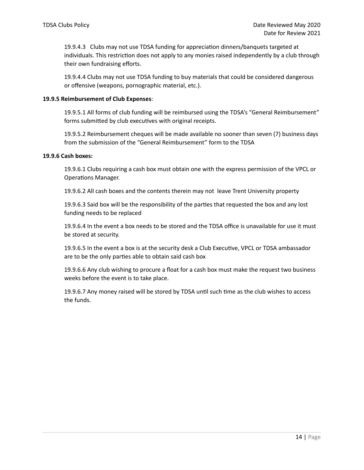19.9.4.3 Clubs may not use TDSA funding for appreciation dinners/banquets targeted at individuals. This restriction does not apply to any monies raised independently by a club through their own fundraising efforts.

19.9.4.4 Clubs may not use TDSA funding to buy materials that could be considered dangerous or offensive (weapons, pornographic material, etc.).

#### **19.9.5 Reimbursement of Club Expenses**:

19.9.5.1 All forms of club funding will be reimbursed using the TDSA's "General Reimbursement" forms submitted by club executives with original receipts.

19.9.5.2 Reimbursement cheques will be made available no sooner than seven (7) business days from the submission of the "General Reimbursement" form to the TDSA

#### **19.9.6 Cash boxes:**

19.9.6.1 Clubs requiring a cash box must obtain one with the express permission of the VPCL or Operations Manager.

19.9.6.2 All cash boxes and the contents therein may not leave Trent University property

19.9.6.3 Said box will be the responsibility of the parties that requested the box and any lost funding needs to be replaced

19.9.6.4 In the event a box needs to be stored and the TDSA office is unavailable for use it must be stored at security.

19.9.6.5 In the event a box is at the security desk a Club Executive, VPCL or TDSA ambassador are to be the only parties able to obtain said cash box

19.9.6.6 Any club wishing to procure a float for a cash box must make the request two business weeks before the event is to take place.

19.9.6.7 Any money raised will be stored by TDSA until such time as the club wishes to access the funds.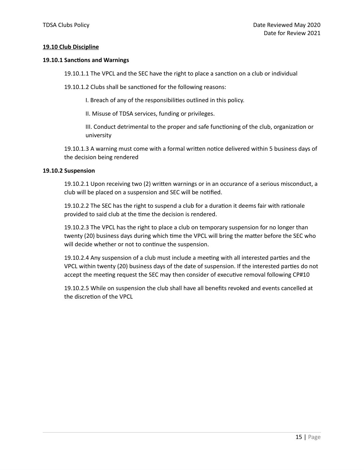#### **19.10 Club Discipline**

#### **19.10.1 Sanctions and Warnings**

19.10.1.1 The VPCL and the SEC have the right to place a sanction on a club or individual

19.10.1.2 Clubs shall be sanctioned for the following reasons:

I. Breach of any of the responsibilities outlined in this policy.

II. Misuse of TDSA services, funding or privileges.

III. Conduct detrimental to the proper and safe functioning of the club, organization or university

19.10.1.3 A warning must come with a formal written notice delivered within 5 business days of the decision being rendered

#### **19.10.2 Suspension**

19.10.2.1 Upon receiving two (2) written warnings or in an occurance of a serious misconduct, a club will be placed on a suspension and SEC will be notified.

19.10.2.2 The SEC has the right to suspend a club for a duration it deems fair with rationale provided to said club at the time the decision is rendered.

19.10.2.3 The VPCL has the right to place a club on temporary suspension for no longer than twenty (20) business days during which time the VPCL will bring the matter before the SEC who will decide whether or not to continue the suspension.

19.10.2.4 Any suspension of a club must include a meeting with all interested parties and the VPCL within twenty (20) business days of the date of suspension. If the interested parties do not accept the meeting request the SEC may then consider of executive removal following CP#10

19.10.2.5 While on suspension the club shall have all benefits revoked and events cancelled at the discretion of the VPCL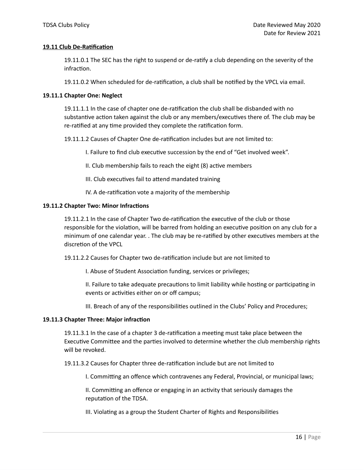#### **19.11 Club De-Ratification**

19.11.0.1 The SEC has the right to suspend or de-ratify a club depending on the severity of the infraction.

19.11.0.2 When scheduled for de-ratification, a club shall be notified by the VPCL via email.

#### **19.11.1 Chapter One: Neglect**

19.11.1.1 In the case of chapter one de-ratification the club shall be disbanded with no substantive action taken against the club or any members/executives there of. The club may be re-ratified at any time provided they complete the ratification form.

19.11.1.2 Causes of Chapter One de-ratification includes but are not limited to:

I. Failure to find club executive succession by the end of "Get involved week".

II. Club membership fails to reach the eight (8) active members

III. Club executives fail to attend mandated training

IV. A de-ratification vote a majority of the membership

#### **19.11.2 Chapter Two: Minor Infractions**

19.11.2.1 In the case of Chapter Two de-ratification the executive of the club or those responsible for the violation, will be barred from holding an executive position on any club for a minimum of one calendar year. . The club may be re-ratified by other executives members at the discretion of the VPCL

19.11.2.2 Causes for Chapter two de-ratification include but are not limited to

I. Abuse of Student Association funding, services or privileges;

II. Failure to take adequate precautions to limit liability while hosting or participating in events or activities either on or off campus;

III. Breach of any of the responsibilities outlined in the Clubs' Policy and Procedures;

#### **19.11.3 Chapter Three: Major infraction**

19.11.3.1 In the case of a chapter 3 de-ratification a meeting must take place between the Executive Committee and the parties involved to determine whether the club membership rights will be revoked.

19.11.3.2 Causes for Chapter three de-ratification include but are not limited to

I. Committing an offence which contravenes any Federal, Provincial, or municipal laws;

II. Committing an offence or engaging in an activity that seriously damages the reputation of the TDSA.

III. Violating as a group the Student Charter of Rights and Responsibilities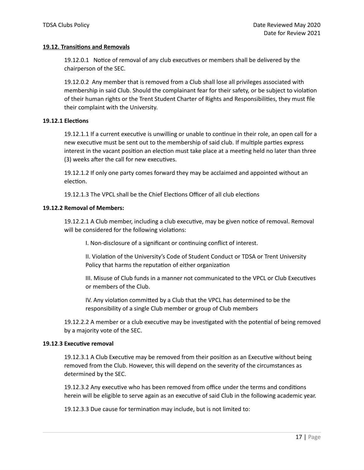#### **19.12. Transitions and Removals**

19.12.0.1 Notice of removal of any club executives or members shall be delivered by the chairperson of the SEC.

19.12.0.2 Any member that is removed from a Club shall lose all privileges associated with membership in said Club. Should the complainant fear for their safety, or be subject to violation of their human rights or the Trent Student Charter of Rights and Responsibilities, they must file their complaint with the University.

#### **19.12.1 Elections**

19.12.1.1 If a current executive is unwilling or unable to continue in their role, an open call for a new executive must be sent out to the membership of said club. If multiple parties express interest in the vacant position an election must take place at a meeting held no later than three (3) weeks after the call for new executives.

19.12.1.2 If only one party comes forward they may be acclaimed and appointed without an election.

19.12.1.3 The VPCL shall be the Chief Elections Officer of all club elections

#### **19.12.2 Removal of Members:**

19.12.2.1 A Club member, including a club executive, may be given notice of removal. Removal will be considered for the following violations:

I. Non-disclosure of a significant or continuing conflict of interest.

II. Violation of the University's Code of Student Conduct or TDSA or Trent University Policy that harms the reputation of either organization

III. Misuse of Club funds in a manner not communicated to the VPCL or Club Executives or members of the Club.

IV. Any violation committed by a Club that the VPCL has determined to be the responsibility of a single Club member or group of Club members

19.12.2.2 A member or a club executive may be investigated with the potential of being removed by a majority vote of the SEC.

#### **19.12**.**3 Executive removal**

19.12.3.1 A Club Executive may be removed from their position as an Executive without being removed from the Club. However, this will depend on the severity of the circumstances as determined by the SEC.

19.12.3.2 Any executive who has been removed from office under the terms and conditions herein will be eligible to serve again as an executive of said Club in the following academic year.

19.12.3.3 Due cause for termination may include, but is not limited to: